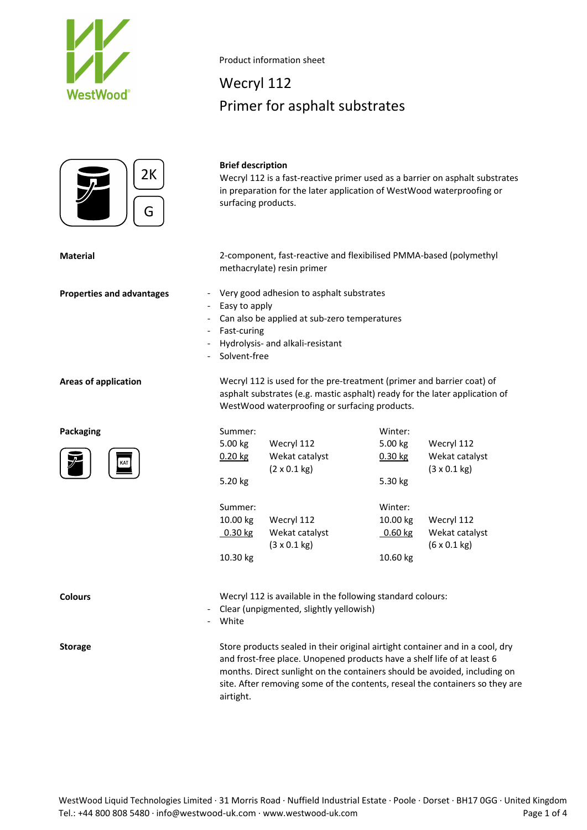



#### Product information sheet

## Wecryl 112 Primer for asphalt substrates

## **Brief description**

Wecryl 112 is a fast-reactive primer used as a barrier on asphalt substrates in preparation for the later application of WestWood waterproofing or surfacing products.

**Material** 2‐component, fast‐reactive and flexibilised PMMA‐based (polymethyl methacrylate) resin primer

- **Properties and advantages because 1 CET ADDED FOR A Very good adhesion to asphalt substrates** 
	- Easy to apply
	- Can also be applied at sub-zero temperatures
	- ‐ Fast‐curing
	- ‐ Hydrolysis‐ and alkali‐resistant
	- ‐ Solvent‐free

**Packaging**



**Areas of application** Wecryl 112 is used for the pre‐treatment (primer and barrier coat) of asphalt substrates (e.g. mastic asphalt) ready for the later application of WestWood waterproofing or surfacing products.

| Summer:   |                             | Winter:   |                             |
|-----------|-----------------------------|-----------|-----------------------------|
| 5.00 kg   | Wecryl 112                  | 5.00 kg   | Wecryl 112                  |
| $0.20$ kg | Wekat catalyst              | $0.30$ kg | Wekat catalyst              |
|           | $(2 \times 0.1 \text{ kg})$ |           | $(3 \times 0.1 \text{ kg})$ |
| 5.20 kg   |                             | 5.30 kg   |                             |
| Summer:   |                             | Winter:   |                             |
| 10.00 kg  | Wecryl 112                  | 10.00 kg  | Wecryl 112                  |
| $0.30$ kg | Wekat catalyst              | 0.60 kg   | Wekat catalyst              |
|           | $(3 \times 0.1 \text{ kg})$ |           | $(6 \times 0.1 \text{ kg})$ |
| 10.30 kg  |                             | 10.60 kg  |                             |

**Colours Colours Wecryl 112** is available in the following standard colours:

- ‐ Clear (unpigmented, slightly yellowish)
- ‐ White

**Storage** Store products sealed in their original airtight container and in a cool, dry and frost-free place. Unopened products have a shelf life of at least 6 months. Direct sunlight on the containers should be avoided, including on site. After removing some of the contents, reseal the containers so they are airtight.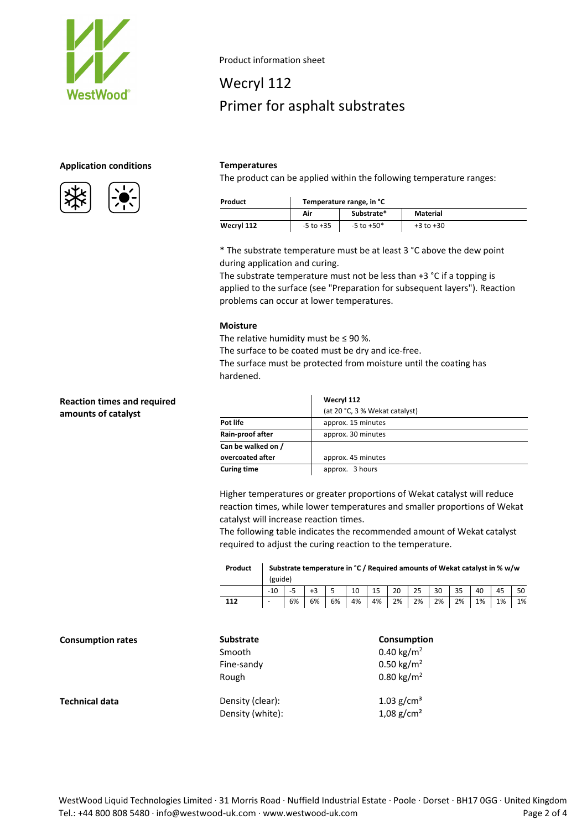

### **Application conditions Temperatures**





Product information sheet

# Wecryl 112 Primer for asphalt substrates

The product can be applied within the following temperature ranges:

| Product    |               | Temperature range, in °C |               |  |  |  |
|------------|---------------|--------------------------|---------------|--|--|--|
|            | Air           | Substrate*               | Material      |  |  |  |
| Wecryl 112 | $-5$ to $+35$ | $-5$ to $+50*$           | $+3$ to $+30$ |  |  |  |

\* The substrate temperature must be at least 3 °C above the dew point during application and curing.

The substrate temperature must not be less than +3 °C if a topping is applied to the surface (see "Preparation for subsequent layers"). Reaction problems can occur at lower temperatures.

#### **Moisture**

The relative humidity must be  $\leq 90$  %.

The surface to be coated must be dry and ice-free.

The surface must be protected from moisture until the coating has hardened.

|                    | Wecryl 112                     |  |  |  |
|--------------------|--------------------------------|--|--|--|
|                    | (at 20 °C, 3 % Wekat catalyst) |  |  |  |
| Pot life           | approx. 15 minutes             |  |  |  |
| Rain-proof after   | approx. 30 minutes             |  |  |  |
| Can be walked on / |                                |  |  |  |
| overcoated after   | approx. 45 minutes             |  |  |  |
| <b>Curing time</b> | approx. 3 hours                |  |  |  |

Higher temperatures or greater proportions of Wekat catalyst will reduce reaction times, while lower temperatures and smaller proportions of Wekat catalyst will increase reaction times.

The following table indicates the recommended amount of Wekat catalyst required to adjust the curing reaction to the temperature.

| Product | Substrate temperature in °C / Required amounts of Wekat catalyst in % w/w |  |  |  |  |  |  |  |  |                                                          |  |
|---------|---------------------------------------------------------------------------|--|--|--|--|--|--|--|--|----------------------------------------------------------|--|
|         | (guide)                                                                   |  |  |  |  |  |  |  |  |                                                          |  |
|         |                                                                           |  |  |  |  |  |  |  |  | -5   +3   5   10   15   20   25   30   35   40   45   50 |  |
| 112     |                                                                           |  |  |  |  |  |  |  |  | 6% 6% 6% 4% 4% 4% 2% 2% 2% 2% 1% 1% 1% 1%                |  |

| <b>Consumption rates</b> | <b>Substrate</b> | <b>Consumption</b>       |  |  |
|--------------------------|------------------|--------------------------|--|--|
|                          | Smooth           | 0.40 kg/m <sup>2</sup>   |  |  |
|                          | Fine-sandy       | 0.50 kg/m <sup>2</sup>   |  |  |
|                          | Rough            | 0.80 kg/m <sup>2</sup>   |  |  |
| <b>Technical data</b>    | Density (clear): | 1.03 $g/cm^3$            |  |  |
|                          | Density (white): | $1,08$ g/cm <sup>2</sup> |  |  |

**Reaction times and required amounts of catalyst**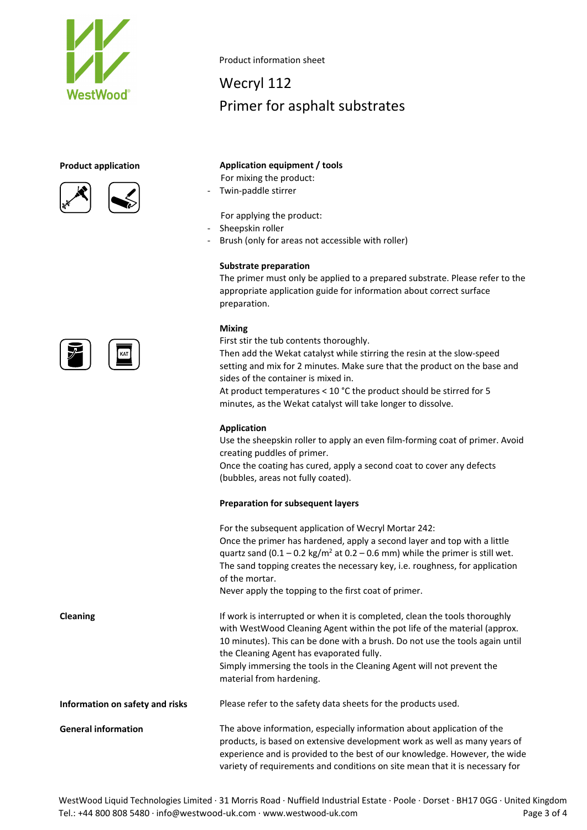

#### **Product application**

<u> ニ し</u>



Product information sheet

# Wecryl 112 Primer for asphalt substrates

### **Application equipment / tools**

For mixing the product:

‐ Twin‐paddle stirrer

For applying the product:

- ‐ Sheepskin roller
- Brush (only for areas not accessible with roller)

#### **Substrate preparation**

The primer must only be applied to a prepared substrate. Please refer to the appropriate application guide for information about correct surface preparation.

#### **Mixing**

First stir the tub contents thoroughly.

Then add the Wekat catalyst while stirring the resin at the slow‐speed setting and mix for 2 minutes. Make sure that the product on the base and sides of the container is mixed in.

At product temperatures < 10 °C the product should be stirred for 5 minutes, as the Wekat catalyst will take longer to dissolve.

#### **Application**

Use the sheepskin roller to apply an even film‐forming coat of primer. Avoid creating puddles of primer.

Once the coating has cured, apply a second coat to cover any defects (bubbles, areas not fully coated).

#### **Preparation for subsequent layers**

For the subsequent application of Wecryl Mortar 242: Once the primer has hardened, apply a second layer and top with a little quartz sand  $(0.1 - 0.2 \text{ kg/m}^2 \text{ at } 0.2 - 0.6 \text{ mm})$  while the primer is still wet. The sand topping creates the necessary key, i.e. roughness, for application of the mortar.

Never apply the topping to the first coat of primer.

**Cleaning If work is interrupted or when it is completed, clean the tools thoroughly** with WestWood Cleaning Agent within the pot life of the material (approx. 10 minutes). This can be done with a brush. Do not use the tools again until the Cleaning Agent has evaporated fully. Simply immersing the tools in the Cleaning Agent will not prevent the material from hardening.

**Information on safety and risks** Please refer to the safety data sheets for the products used.

**General information** The above information, especially information about application of the products, is based on extensive development work as well as many years of experience and is provided to the best of our knowledge. However, the wide variety of requirements and conditions on site mean that it is necessary for